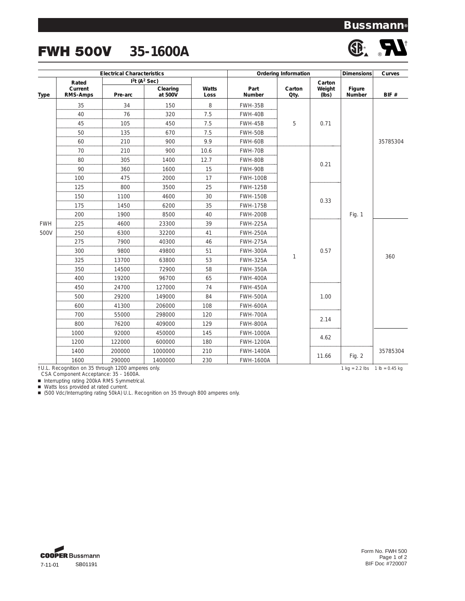## **Bussmann®**

# FWH 500V **35-1600A**



| <b>Electrical Characteristics</b>                  |                            |                                                 |                            |      | <b>Ordering Information</b> | <b>Dimensions</b> | Curves          |                                                                   |          |
|----------------------------------------------------|----------------------------|-------------------------------------------------|----------------------------|------|-----------------------------|-------------------|-----------------|-------------------------------------------------------------------|----------|
|                                                    | Rated                      |                                                 | $I2t$ (A <sup>2</sup> Sec) |      |                             |                   | Carton          |                                                                   |          |
| <b>Type</b>                                        | Current<br><b>RMS-Amps</b> | Clearing<br>Watts<br>at 500V<br>Pre-arc<br>Loss |                            |      | Part<br>Number              | Carton<br>Qty.    | Weight<br>(lbs) |                                                                   | BIF#     |
|                                                    | 35                         | 34                                              | 150                        | 8    | FWH-35B                     |                   | 0.71            | Fig. 1                                                            | 35785304 |
|                                                    | 40                         | 76                                              | 320                        | 7.5  | FWH-40B                     |                   |                 |                                                                   |          |
|                                                    | 45                         | 105                                             | 450                        | 7.5  | FWH-45B                     | 5                 |                 |                                                                   |          |
|                                                    | 50                         | 135                                             | 670                        | 7.5  | FWH-50B                     |                   |                 |                                                                   |          |
|                                                    | 60                         | 210                                             | 900                        | 9.9  | FWH-60B                     |                   |                 |                                                                   |          |
|                                                    | 70                         | 210                                             | 900                        | 10.6 | FWH-70B                     |                   | 0.21            |                                                                   |          |
|                                                    | 80                         | 305                                             | 1400                       | 12.7 | FWH-80B                     |                   |                 |                                                                   |          |
| <b>FWH</b><br>500V                                 | 90                         | 360                                             | 1600                       | 15   | FWH-90B                     |                   |                 |                                                                   |          |
|                                                    | 100                        | 475                                             | 2000                       | 17   | <b>FWH-100B</b>             |                   |                 |                                                                   |          |
|                                                    | 125                        | 800                                             | 3500                       | 25   | <b>FWH-125B</b>             |                   | 0.33            |                                                                   |          |
|                                                    | 150                        | 1100                                            | 4600                       | 30   | <b>FWH-150B</b>             |                   |                 |                                                                   |          |
|                                                    | 175                        | 1450                                            | 6200                       | 35   | <b>FWH-175B</b>             |                   |                 |                                                                   |          |
|                                                    | 200                        | 1900                                            | 8500                       | 40   | <b>FWH-200B</b>             | 1                 |                 |                                                                   |          |
|                                                    | 225                        | 4600                                            | 23300                      | 39   | <b>FWH-225A</b>             |                   | 0.57<br>1.00    |                                                                   | 360      |
|                                                    | 250                        | 6300                                            | 32200                      | 41   | <b>FWH-250A</b>             |                   |                 |                                                                   |          |
|                                                    | 275                        | 7900                                            | 40300                      | 46   | <b>FWH-275A</b>             |                   |                 |                                                                   |          |
|                                                    | 300                        | 9800                                            | 49800                      | 51   | <b>FWH-300A</b>             |                   |                 |                                                                   |          |
|                                                    | 325                        | 13700                                           | 63800                      | 53   | <b>FWH-325A</b>             |                   |                 |                                                                   |          |
|                                                    | 350                        | 14500                                           | 72900                      | 58   | <b>FWH-350A</b>             |                   |                 |                                                                   |          |
|                                                    | 400                        | 19200                                           | 96700                      | 65   | <b>FWH-400A</b>             |                   |                 |                                                                   |          |
|                                                    | 450                        | 24700                                           | 127000                     | 74   | <b>FWH-450A</b>             |                   |                 |                                                                   |          |
|                                                    | 500                        | 29200                                           | 149000                     | 84   | <b>FWH-500A</b>             |                   |                 |                                                                   |          |
|                                                    | 600                        | 41300                                           | 206000                     | 108  | <b>FWH-600A</b>             |                   |                 |                                                                   |          |
|                                                    | 700                        | 55000                                           | 298000                     | 120  | <b>FWH-700A</b>             |                   | 2.14            |                                                                   |          |
|                                                    | 800                        | 76200                                           | 409000                     | 129  | <b>FWH-800A</b>             |                   |                 |                                                                   |          |
|                                                    | 1000                       | 92000                                           | 450000                     | 145  | <b>FWH-1000A</b>            |                   |                 |                                                                   |          |
|                                                    | 1200                       | 122000                                          | 600000                     | 180  | <b>FWH-1200A</b>            |                   | 4.62            |                                                                   |          |
|                                                    | 1400                       | 200000                                          | 1000000                    | 210  | <b>FWH-1400A</b>            |                   | 11.66           |                                                                   | 35785304 |
|                                                    | 1600                       | 290000                                          | 1400000                    | 230  | <b>FWH-1600A</b>            |                   |                 | Fig. 2                                                            |          |
| †U.L. Recognition on 35 through 1200 amperes only. |                            |                                                 |                            |      |                             |                   |                 | $1 \text{ kg} = 2.2 \text{ lbs}$ $1 \text{ lb} = 0.45 \text{ kg}$ |          |

CSA Component Acceptance: 35 - 1600A.

■ Interrupting rating 200kA RMS Symmetrical.

■ Watts loss provided at rated current.

■ (500 Vdc/Interrupting rating 50kA) U.L. Recognition on 35 through 800 amperes only.



Form No. FWH 500 Page 1 of 2 BIF Doc #720007